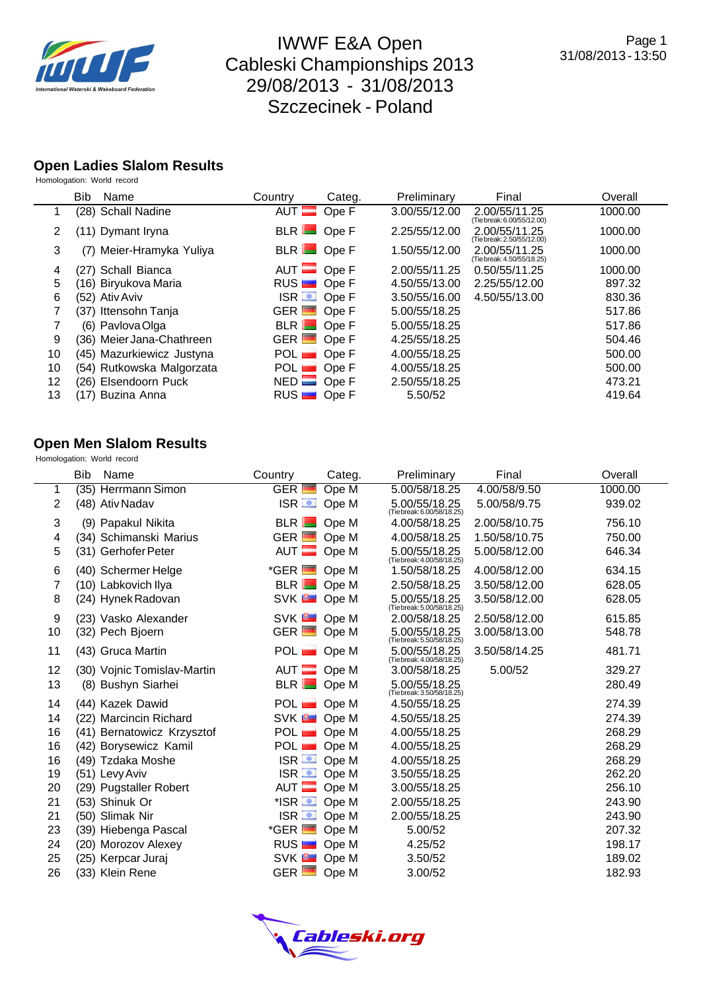

## **Open Ladies Slalom Results**

| Homologation: World record |  |  |
|----------------------------|--|--|
|----------------------------|--|--|

|                | <b>Bib</b> | Name                      | Country              | Categ. | Preliminary   | Final                                       | Overall |
|----------------|------------|---------------------------|----------------------|--------|---------------|---------------------------------------------|---------|
|                |            | (28) Schall Nadine        | AUT $\equiv$         | Ope F  | 3.00/55/12.00 | 2.00/55/11.25<br>(Tie break: 6.00/55/12.00) | 1000.00 |
| $\overline{2}$ |            | (11) Dymant Iryna         | BLR Ope F            |        | 2.25/55/12.00 | 2.00/55/11.25<br>(Tie break: 2.50/55/12.00) | 1000.00 |
| 3              |            | (7) Meier-Hramyka Yuliya  | BLR Ope F            |        | 1.50/55/12.00 | 2.00/55/11.25<br>(Tie break: 4.50/55/18.25) | 1000.00 |
| 4              |            | (27) Schall Bianca        | $AUT$ Ope F          |        | 2.00/55/11.25 | 0.50/55/11.25                               | 1000.00 |
| 5              |            | (16) Biryukova Maria      | RUS                  | Ope F  | 4.50/55/13.00 | 2.25/55/12.00                               | 897.32  |
| 6              |            | (52) Ativ Aviv            | ISR <u>■</u> Ope F   |        | 3.50/55/16.00 | 4.50/55/13.00                               | 830.36  |
|                |            | (37) Ittensohn Tanja      | $GER$ $\blacksquare$ | Ope F  | 5.00/55/18.25 |                                             | 517.86  |
|                |            | (6) Pavlova Olga          | BLR Ope F            |        | 5.00/55/18.25 |                                             | 517.86  |
| 9              |            | (36) Meier Jana-Chathreen | $GER$ $\blacksquare$ | Ope F  | 4.25/55/18.25 |                                             | 504.46  |
| 10             |            | (45) Mazurkiewicz Justyna | $POL$ $OpeF$         |        | 4.00/55/18.25 |                                             | 500.00  |
| 10             |            | (54) Rutkowska Malgorzata | POL Ope F            |        | 4.00/55/18.25 |                                             | 500.00  |
| 12             |            | (26) Elsendoorn Puck      | $NED$ Ope F          |        | 2.50/55/18.25 |                                             | 473.21  |
| 13             |            | (17) Buzina Anna          | RUS                  | Ope F  | 5.50/52       |                                             | 419.64  |

## **Open Men Slalom Results**

Homologation: World record

|    | <b>Bib</b> | Name                        | Country                | Categ. | Preliminary                                 | Final         | Overall |
|----|------------|-----------------------------|------------------------|--------|---------------------------------------------|---------------|---------|
| 1  |            | (35) Herrmann Simon         | <b>GER</b>             | Ope M  | 5.00/58/18.25                               | 4.00/58/9.50  | 1000.00 |
| 2  |            | (48) Ativ Nadav             | ISR <sup>■</sup> Ope M |        | 5.00/55/18.25<br>(Tie break: 6.00/58/18.25) | 5.00/58/9.75  | 939.02  |
| 3  |            | (9) Papakul Nikita          | BLR                    | Ope M  | 4.00/58/18.25                               | 2.00/58/10.75 | 756.10  |
| 4  |            | (34) Schimanski Marius      | $GER$ $\blacksquare$   | Ope M  | 4.00/58/18.25                               | 1.50/58/10.75 | 750.00  |
| 5  |            | (31) Gerhofer Peter         | $AUT$ $\blacksquare$   | Ope M  | 5.00/55/18.25<br>(Tie break: 4.00/58/18.25) | 5.00/58/12.00 | 646.34  |
| 6  |            | (40) Schermer Helge         | $*GER$ $\blacksquare$  | Ope M  | 1.50/58/18.25                               | 4.00/58/12.00 | 634.15  |
| 7  |            | (10) Labkovich Ilya         | BLR                    | Ope M  | 2.50/58/18.25                               | 3.50/58/12.00 | 628.05  |
| 8  |            | (24) Hynek Radovan          | SVK <b>D</b> Ope M     |        | 5.00/55/18.25<br>(Tie break: 5.00/58/18.25) | 3.50/58/12.00 | 628.05  |
| 9  |            | (23) Vasko Alexander        | SVK <b>B</b> Ope M     |        | 2.00/58/18.25                               | 2.50/58/12.00 | 615.85  |
| 10 |            | (32) Pech Bjoern            | $GER$ $\Box$           | Ope M  | 5.00/55/18.25<br>(Tie break: 5.50/58/18.25) | 3.00/58/13.00 | 548.78  |
| 11 |            | (43) Gruca Martin           | POL Ope M              |        | 5.00/55/18.25<br>(Tie break: 4.00/58/18.25) | 3.50/58/14.25 | 481.71  |
| 12 |            | (30) Vojnic Tomislav-Martin | AUT Ope M              |        | 3.00/58/18.25                               | 5.00/52       | 329.27  |
| 13 |            | (8) Bushyn Siarhei          | BLR Ope M              |        | 5.00/55/18.25<br>(Tie break: 3.50/58/18.25) |               | 280.49  |
| 14 |            | (44) Kazek Dawid            | POL Ope M              |        | 4.50/55/18.25                               |               | 274.39  |
| 14 |            | (22) Marcincin Richard      | SVK <sup>B</sup>       | Ope M  | 4.50/55/18.25                               |               | 274.39  |
| 16 |            | (41) Bernatowicz Krzysztof  | $POL$ $\blacksquare$   | Ope M  | 4.00/55/18.25                               |               | 268.29  |
| 16 |            | (42) Borysewicz Kamil       | <b>POL</b>             | Ope M  | 4.00/55/18.25                               |               | 268.29  |
| 16 |            | (49) Tzdaka Moshe           | $ISR =$                | Ope M  | 4.00/55/18.25                               |               | 268.29  |
| 19 |            | (51) Levy Aviv              | $ISR =$                | Ope M  | 3.50/55/18.25                               |               | 262.20  |
| 20 |            | (29) Pugstaller Robert      | AUT <sup>E</sup>       | Ope M  | 3.00/55/18.25                               |               | 256.10  |
| 21 |            | (53) Shinuk Or              | *ISR <u>≖</u>          | Ope M  | 2.00/55/18.25                               |               | 243.90  |
| 21 |            | (50) Slimak Nir             | $ISR =$                | Ope M  | 2.00/55/18.25                               |               | 243.90  |
| 23 |            | (39) Hiebenga Pascal        | $*GER$ $\Box$          | Ope M  | 5.00/52                                     |               | 207.32  |
| 24 |            | (20) Morozov Alexey         | RUS                    | Ope M  | 4.25/52                                     |               | 198.17  |
| 25 |            | (25) Kerpcar Juraj          | <b>SVK</b>             | Ope M  | 3.50/52                                     |               | 189.02  |
| 26 |            | (33) Klein Rene             | $GER$ $\Box$           | Ope M  | 3.00/52                                     |               | 182.93  |

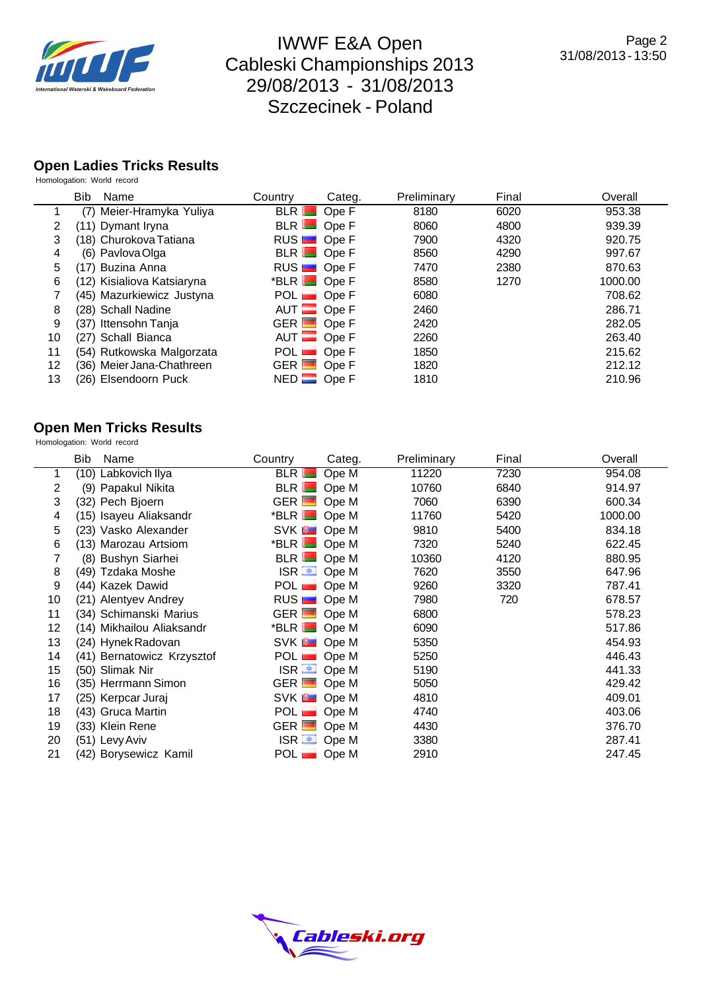

#### **Open Ladies Tricks Results** Homologation: World record

|                       | <b>Bib</b><br>Name         | Country                      | Categ.      | Preliminary | Final | Overall |
|-----------------------|----------------------------|------------------------------|-------------|-------------|-------|---------|
|                       | (7) Meier-Hramyka Yuliya   | <b>BLR</b>                   | Ope F       | 8180        | 6020  | 953.38  |
| $\mathbf{2}^{\prime}$ | (11) Dymant Iryna          | $BLR$ $\blacksquare$         | Ope F       | 8060        | 4800  | 939.39  |
| 3                     | (18) Churokova Tatiana     | RUS <b>D</b> Ope F           |             | 7900        | 4320  | 920.75  |
| 4                     | (6) Pavlova Olga           | BLR Ope F                    |             | 8560        | 4290  | 997.67  |
| 5.                    | (17) Buzina Anna           | RUS <b>D</b> Ope F           |             | 7470        | 2380  | 870.63  |
| 6                     | (12) Kisialiova Katsiaryna | $*$ BLR $\blacksquare$ Ope F |             | 8580        | 1270  | 1000.00 |
|                       | (45) Mazurkiewicz Justyna  | $POL$ $OpeF$                 |             | 6080        |       | 708.62  |
| 8                     | (28) Schall Nadine         |                              | $AUT$ Ope F | 2460        |       | 286.71  |
| 9                     | (37) Ittensohn Tanja       | $GER$ $\Box$                 | Ope F       | 2420        |       | 282.05  |
| 10                    | (27) Schall Bianca         | AUT <b>E</b>                 | Ope F       | 2260        |       | 263.40  |
| 11                    | (54) Rutkowska Malgorzata  | POL                          | Ope F       | 1850        |       | 215.62  |
| 12                    | (36) Meier Jana-Chathreen  | $GER$ $\Box$                 | Ope F       | 1820        |       | 212.12  |
| 13                    | (26) Elsendoorn Puck       | $NED$ $\Box$                 | Ope F       | 1810        |       | 210.96  |

## **Open Men Tricks Results**

Homologation: World record

|    | Bib<br>Name                | Country              | Categ.                 | Preliminary | Final | Overall |
|----|----------------------------|----------------------|------------------------|-------------|-------|---------|
|    | (10) Labkovich Ilya        | BLR                  | Ope M                  | 11220       | 7230  | 954.08  |
| 2  | (9) Papakul Nikita         | BLR Ope M            |                        | 10760       | 6840  | 914.97  |
| 3  | (32) Pech Bjoern           | GER Ope M            |                        | 7060        | 6390  | 600.34  |
| 4  | (15) Isayeu Aliaksandr     | $*$ BLR $\Box$ Ope M |                        | 11760       | 5420  | 1000.00 |
| 5  | (23) Vasko Alexander       | SVK <b>B</b> Ope M   |                        | 9810        | 5400  | 834.18  |
| 6  | (13) Marozau Artsiom       | $*$ BLR $\Box$ Ope M |                        | 7320        | 5240  | 622.45  |
|    | (8) Bushyn Siarhei         | BLR Ope M            |                        | 10360       | 4120  | 880.95  |
| 8  | (49) Tzdaka Moshe          |                      | ISR <sup>■</sup> Ope M | 7620        | 3550  | 647.96  |
| 9  | (44) Kazek Dawid           | $POL$ $\blacksquare$ | Ope M                  | 9260        | 3320  | 787.41  |
| 10 | (21) Alentyev Andrey       | $RUS$ Ope M          |                        | 7980        | 720   | 678.57  |
| 11 | (34) Schimanski Marius     | $GER$ Ope M          |                        | 6800        |       | 578.23  |
| 12 | (14) Mikhailou Aliaksandr  | $*$ BLR $\Box$ Ope M |                        | 6090        |       | 517.86  |
| 13 | (24) Hynek Radovan         | SVK <b>B</b> Ope M   |                        | 5350        |       | 454.93  |
| 14 | (41) Bernatowicz Krzysztof | POL <b>D</b> Ope M   |                        | 5250        |       | 446.43  |
| 15 | (50) Slimak Nir            |                      | ISR $\equiv$ Ope M     | 5190        |       | 441.33  |
| 16 | (35) Herrmann Simon        | GER Ope M            |                        | 5050        |       | 429.42  |
| 17 | (25) Kerpcar Juraj         | SVK <b>B</b> Ope M   |                        | 4810        |       | 409.01  |
| 18 | (43) Gruca Martin          | POL                  | Ope M                  | 4740        |       | 403.06  |
| 19 | (33) Klein Rene            | GER Ope M            |                        | 4430        |       | 376.70  |
| 20 | (51) Levy Aviv             |                      | ISR $\equiv$ Ope M     | 3380        |       | 287.41  |
| 21 | (42) Borysewicz Kamil      | $POL$ Ope M          |                        | 2910        |       | 247.45  |

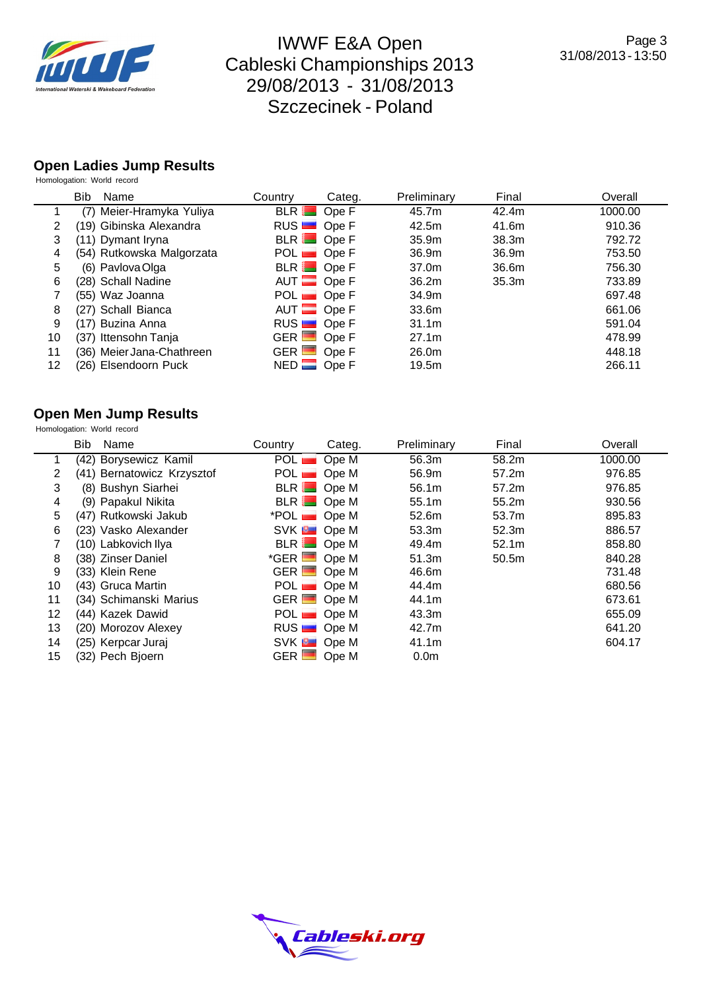

#### **Open Ladies Jump Results** Homologation: World record

|    | <b>Bib</b><br>Name        | Country     | Categ.             | Preliminary       | Final             | Overall |
|----|---------------------------|-------------|--------------------|-------------------|-------------------|---------|
|    | (7) Meier-Hramyka Yuliya  |             | BLR Ope F          | 45.7m             | 42.4m             | 1000.00 |
| 2  | (19) Gibinska Alexandra   |             | RUS <b>D</b> Ope F | 42.5m             | 41.6m             | 910.36  |
| 3  | (11) Dymant Iryna         |             | $BLR$ Ope F        | 35.9 <sub>m</sub> | 38.3m             | 792.72  |
| 4  | (54) Rutkowska Malgorzata |             | $POL$ Ope F        | 36.9m             | 36.9m             | 753.50  |
| 5  | (6) Pavlova Olga          |             | BLR Ope F          | 37.0m             | 36.6m             | 756.30  |
| 6  | (28) Schall Nadine        |             | $AUT$ Ope F        | 36.2m             | 35.3 <sub>m</sub> | 733.89  |
|    | (55) Waz Joanna           |             | $POL$ Ope F        | 34.9m             |                   | 697.48  |
| 8  | (27) Schall Bianca        |             | $AUT$ Ope F        | 33.6m             |                   | 661.06  |
| 9  | (17) Buzina Anna          |             | RUS <b>D</b> Ope F | 31.1 <sub>m</sub> |                   | 591.04  |
| 10 | (37) Ittensohn Tanja      | GER Ope F   |                    | 27.1m             |                   | 478.99  |
| 11 | (36) Meier Jana-Chathreen | $GER$ Ope F |                    | 26.0m             |                   | 448.18  |
| 12 | (26) Elsendoorn Puck      | $NED$ Ope F |                    | 19.5m             |                   | 266.11  |

#### **Open Men Jump Results**

|    | Homologation: World record |                            |                      |        |                  |                   |         |  |
|----|----------------------------|----------------------------|----------------------|--------|------------------|-------------------|---------|--|
|    | <b>Bib</b>                 | Name                       | Country              | Categ. | Preliminary      | Final             | Overall |  |
|    |                            | (42) Borysewicz Kamil      | POL <sub>1</sub>     | Ope M  | 56.3m            | 58.2m             | 1000.00 |  |
| 2  |                            | (41) Bernatowicz Krzysztof |                      |        | 56.9m            | 57.2m             | 976.85  |  |
| 3  |                            | (8) Bushyn Siarhei         | BLR Ope M            |        | 56.1m            | 57.2m             | 976.85  |  |
| 4  |                            | (9) Papakul Nikita         | BLR Ope M            |        | 55.1m            | 55.2m             | 930.56  |  |
| 5  |                            | (47) Rutkowski Jakub       | $*POL$ Ope M         |        | 52.6m            | 53.7m             | 895.83  |  |
| 6  |                            | (23) Vasko Alexander       | SVK <b>B</b> Ope M   |        | 53.3m            | 52.3m             | 886.57  |  |
|    |                            | (10) Labkovich Ilya        | BLR Ope M            |        | 49.4m            | 52.1m             | 858.80  |  |
| 8  |                            | (38) Zinser Daniel         | $*GER$ Ope M         |        | 51.3m            | 50.5 <sub>m</sub> | 840.28  |  |
| 9  |                            | (33) Klein Rene            | $GER$ $\blacksquare$ | Ope M  | 46.6m            |                   | 731.48  |  |
| 10 |                            | (43) Gruca Martin          |                      |        | 44.4m            |                   | 680.56  |  |
| 11 |                            | (34) Schimanski Marius     | GER Ope M            |        | 44.1m            |                   | 673.61  |  |
| 12 |                            | (44) Kazek Dawid           |                      |        | 43.3m            |                   | 655.09  |  |
| 13 |                            | (20) Morozov Alexey        | RUS <b>D</b> Ope M   |        | 42.7m            |                   | 641.20  |  |
| 14 |                            | (25) Kerpcar Juraj         | SVK <b>B</b> Ope M   |        | 41.1m            |                   | 604.17  |  |
| 15 |                            | (32) Pech Bjoern           | $GER$ $\Box$         | Ope M  | 0.0 <sub>m</sub> |                   |         |  |